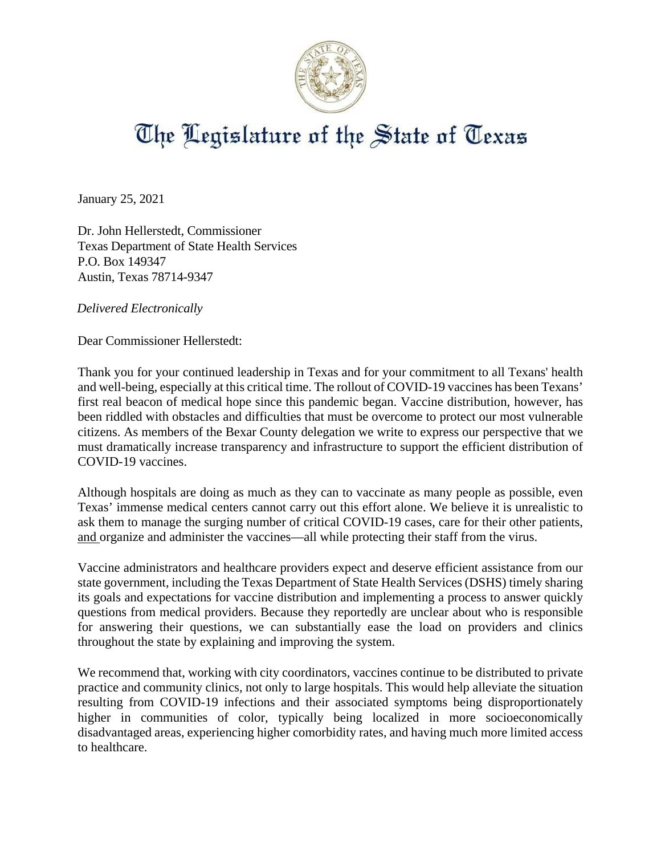

## The Legislature of the State of Texas

January 25, 2021

Dr. John Hellerstedt, Commissioner Texas Department of State Health Services P.O. Box 149347 Austin, Texas 78714-9347

*Delivered Electronically*

Dear Commissioner Hellerstedt:

Thank you for your continued leadership in Texas and for your commitment to all Texans' health and well-being, especially at this critical time. The rollout of COVID-19 vaccines has been Texans' first real beacon of medical hope since this pandemic began. Vaccine distribution, however, has been riddled with obstacles and difficulties that must be overcome to protect our most vulnerable citizens. As members of the Bexar County delegation we write to express our perspective that we must dramatically increase transparency and infrastructure to support the efficient distribution of COVID-19 vaccines.

Although hospitals are doing as much as they can to vaccinate as many people as possible, even Texas' immense medical centers cannot carry out this effort alone. We believe it is unrealistic to ask them to manage the surging number of critical COVID-19 cases, care for their other patients, and organize and administer the vaccines—all while protecting their staff from the virus.

Vaccine administrators and healthcare providers expect and deserve efficient assistance from our state government, including the Texas Department of State Health Services (DSHS) timely sharing its goals and expectations for vaccine distribution and implementing a process to answer quickly questions from medical providers. Because they reportedly are unclear about who is responsible for answering their questions, we can substantially ease the load on providers and clinics throughout the state by explaining and improving the system.

We recommend that, working with city coordinators, vaccines continue to be distributed to private practice and community clinics, not only to large hospitals. This would help alleviate the situation resulting from COVID-19 infections and their associated symptoms being disproportionately higher in communities of color, typically being localized in more socioeconomically disadvantaged areas, experiencing higher comorbidity rates, and having much more limited access to healthcare.